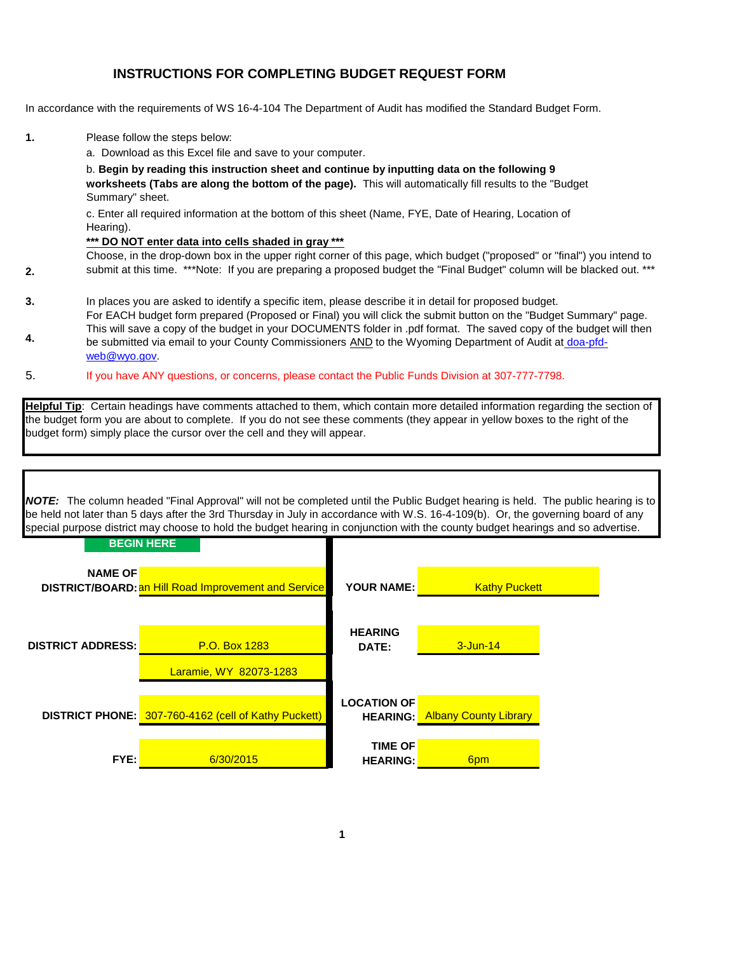# **INSTRUCTIONS FOR COMPLETING BUDGET REQUEST FORM**

In accordance with the requirements of WS 16-4-104 The Department of Audit has modified the Standard Budget Form.

**1.** Please follow the steps below:

**2.**

a. Download as this Excel file and save to your computer.

b. **Begin by reading this instruction sheet and continue by inputting data on the following 9 worksheets (Tabs are along the bottom of the page).** This will automatically fill results to the "Budget Summary" sheet.

c. Enter all required information at the bottom of this sheet (Name, FYE, Date of Hearing, Location of Hearing).

#### **\*\*\* DO NOT enter data into cells shaded in gray \*\*\***

Choose, in the drop-down box in the upper right corner of this page, which budget ("proposed" or "final") you intend to submit at this time. \*\*\*Note: If you are preparing a proposed budget the "Final Budget" column will be blacked out. \*\*\*

- **3.** In places you are asked to identify a specific item, please describe it in detail for proposed budget.
- **4.** For EACH budget form prepared (Proposed or Final) you will click the submit button on the "Budget Summary" page. This will save a copy of the budget in your DOCUMENTS folder in .pdf format. The saved copy of the budget will then be submitted via email to your County Commissioners AND to the Wyoming Department of Audit at doa-pfdweb@wyo.gov.
- 5. If you have ANY questions, or concerns, please contact the Public Funds Division at 307-777-7798.

**Helpful Tip**: Certain headings have comments attached to them, which contain more detailed information regarding the section of the budget form you are about to complete. If you do not see these comments (they appear in yellow boxes to the right of the budget form) simply place the cursor over the cell and they will appear.

*NOTE:* The column headed "Final Approval" will not be completed until the Public Budget hearing is held. The public hearing is to be held not later than 5 days after the 3rd Thursday in July in accordance with W.S. 16-4-109(b). Or, the governing board of any special purpose district may choose to hold the budget hearing in conjunction with the county budget hearings and so advertise.

|                          | <b>BEGIN HERE</b>                                    |                                       |                              |  |
|--------------------------|------------------------------------------------------|---------------------------------------|------------------------------|--|
| <b>NAME OF</b>           | DISTRICT/BOARD: an Hill Road Improvement and Service | <b>YOUR NAME:</b>                     | <b>Kathy Puckett</b>         |  |
| <b>DISTRICT ADDRESS:</b> | P.O. Box 1283<br>Laramie, WY 82073-1283              | <b>HEARING</b><br>DATE:               | $3 - Jun-14$                 |  |
|                          | DISTRICT PHONE: 307-760-4162 (cell of Kathy Puckett) | <b>LOCATION OF</b><br><b>HEARING:</b> | <b>Albany County Library</b> |  |
| FYE:                     | 6/30/2015                                            | <b>TIME OF</b><br><b>HEARING:</b>     | 6pm                          |  |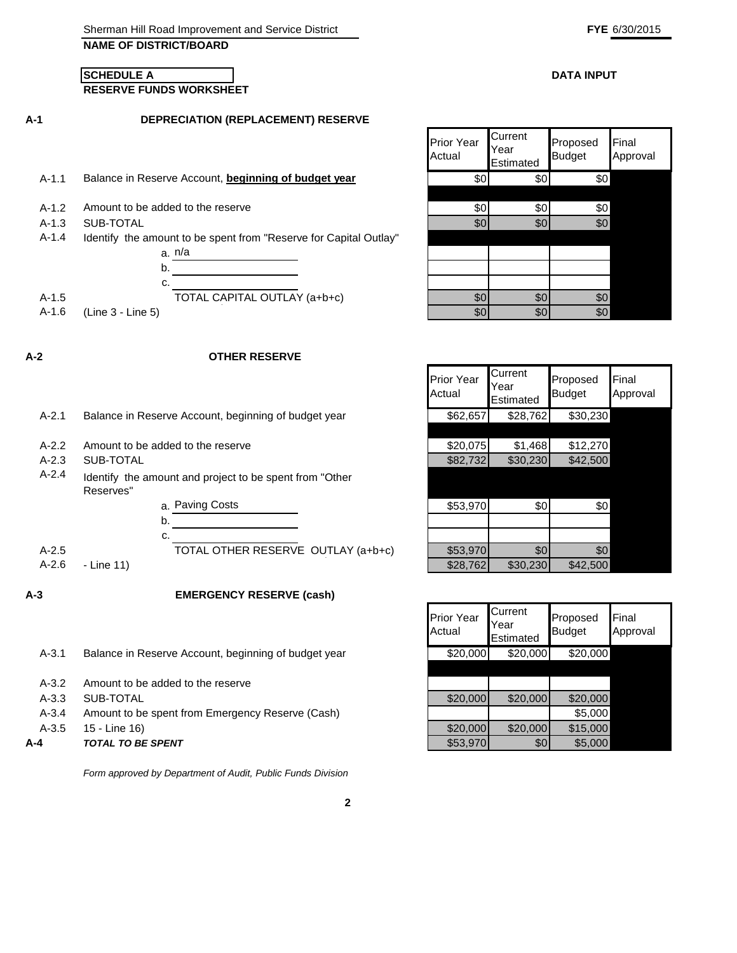#### **DATA INPUT**

#### **RESERVE FUNDS WORKSHEET SCHEDULE A**

**A-1**

**DEPRECIATION (REPLACEMENT) RESERVE**

- A-1.1 Balance in Reserve Account, **beginning of budget year**
- $A-1.2$  Amount to be added to the reserve
- 
- A-1.4 Identify the amount to be spent from "Reserve for Capital Outlay"



**A-2**

#### **OTHER RESERVE**

- A-2.1 Balance in Reserve Account, beginning of budget year
- A-2.2 Amount to be added to the reserve
- 
- A-2.4 Identify the amount and project to be spent from "Other Reserves"

- Line 11)

**A-3**

**EMERGENCY RESERVE (cash)**

| A-4       | <b>TOTAL TO BE SPENT</b>                             | \$53,970 | \$0      | \$5,000  |
|-----------|------------------------------------------------------|----------|----------|----------|
| $A-3.5$   | 15 - Line 16)                                        | \$20,000 | \$20,000 | \$15,000 |
| $A - 3.4$ | Amount to be spent from Emergency Reserve (Cash)     |          |          | \$5,000  |
| $A-3.3$   | SUB-TOTAL                                            | \$20,000 | \$20,000 | \$20,000 |
| $A-3.2$   | Amount to be added to the reserve                    |          |          |          |
|           |                                                      |          |          |          |
| $A - 3.1$ | Balance in Reserve Account, beginning of budget year | \$20,000 | \$20,000 | \$20,000 |

*Form approved by Department of Audit, Public Funds Division*

|       | DEFREGIATION (REFEAGEMENT) RESERVE                                |                             |                              |                           |                   |
|-------|-------------------------------------------------------------------|-----------------------------|------------------------------|---------------------------|-------------------|
|       |                                                                   | <b>Prior Year</b><br>Actual | Current<br>Year<br>Estimated | Proposed<br><b>Budget</b> | Final<br>Approval |
| A-1.1 | Balance in Reserve Account, beginning of budget year              | \$0                         | \$0                          | \$0                       |                   |
|       |                                                                   |                             |                              |                           |                   |
| A-1.2 | Amount to be added to the reserve                                 | \$0                         | \$0                          | \$0                       |                   |
| A-1.3 | SUB-TOTAL                                                         | \$0                         | \$0                          | \$0                       |                   |
| A-1.4 | Identify the amount to be spent from "Reserve for Capital Outlay" |                             |                              |                           |                   |
|       | a. n/a                                                            |                             |                              |                           |                   |
|       | b.                                                                |                             |                              |                           |                   |
|       | c.                                                                |                             |                              |                           |                   |
| A-1.5 | TOTAL CAPITAL OUTLAY (a+b+c)                                      | \$0                         | \$0                          | \$0                       |                   |
| A-1.6 | $(Line 3 - Line 5)$                                               | \$0                         | \$0                          | \$0                       |                   |

|         |                                                                      | <b>Prior Year</b><br>Actual | Current<br>Year<br>Estimated | Proposed<br><b>Budget</b> | Final<br>Approval |
|---------|----------------------------------------------------------------------|-----------------------------|------------------------------|---------------------------|-------------------|
| A-2.1   | Balance in Reserve Account, beginning of budget year                 | \$62,657                    | \$28,762                     | \$30,230                  |                   |
|         |                                                                      |                             |                              |                           |                   |
| $A-2.2$ | Amount to be added to the reserve                                    | \$20,075                    | \$1,468                      | \$12,270                  |                   |
| $A-2.3$ | SUB-TOTAL                                                            | \$82,732                    | \$30,230                     | \$42,500                  |                   |
| A-2.4   | Identify the amount and project to be spent from "Other<br>Reserves" |                             |                              |                           |                   |
|         | a. Paving Costs                                                      | \$53,970                    | \$0                          | \$0                       |                   |
|         | b.                                                                   |                             |                              |                           |                   |
|         | c.                                                                   |                             |                              |                           |                   |
| $A-2.5$ | TOTAL OTHER RESERVE OUTLAY (a+b+c)                                   | \$53,970                    | \$0                          | \$0                       |                   |
| A-2.6   | - Line 11)                                                           | \$28,762                    | \$30,230                     | \$42,500                  |                   |

| Prior Year<br>Actual | Current<br>Year<br>Estimated | Proposed<br><b>Budget</b> | Final<br>Approval |
|----------------------|------------------------------|---------------------------|-------------------|
| \$20,000             | \$20,000                     | \$20,000                  |                   |
|                      |                              |                           |                   |
|                      |                              |                           |                   |
| \$20,000             | \$20,000                     | \$20,000                  |                   |
|                      |                              | \$5,000                   |                   |
| \$20,000             | \$20,000                     | \$15,000                  |                   |
| \$53,970             | \$0                          | \$5,000                   |                   |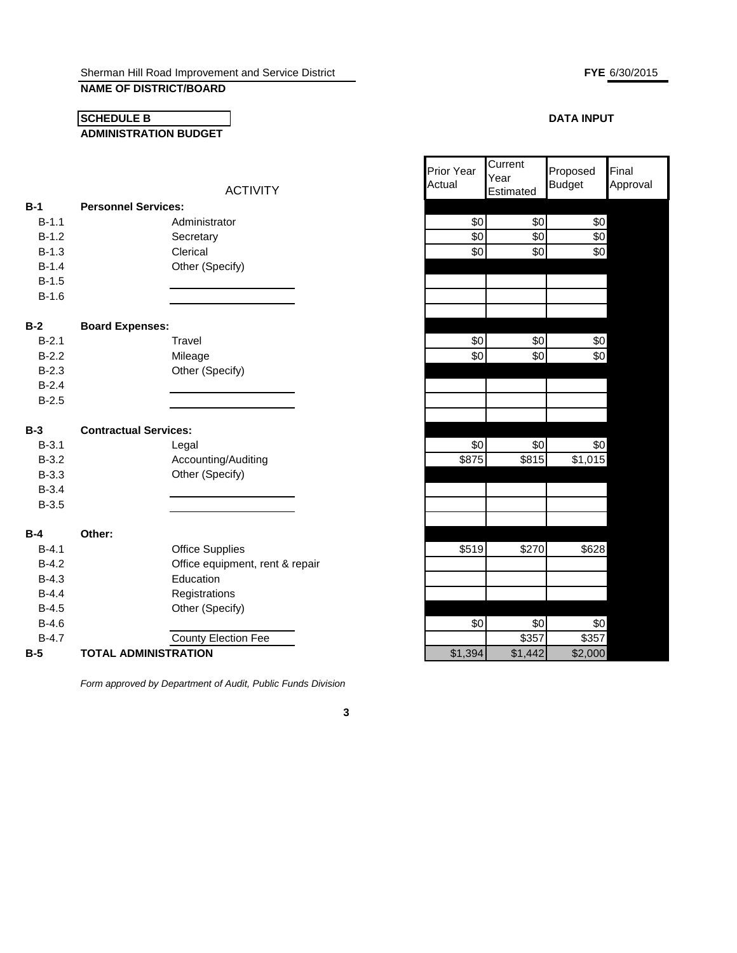# **NAME OF DISTRICT/BOARD**

#### **ADMINISTRATION BUDGET SCHEDULE B**

# **FYE** 6/30/2015

Final

### **DATA INPUT**

Proposed

|            |                              | <b>ACTIVITY</b>                 | ו ווטו ו כמו<br>Actual | Year<br>Estimated | <u>II Iupuseu</u><br><b>Budget</b> | <b>11 11 10 11</b><br>Approval |
|------------|------------------------------|---------------------------------|------------------------|-------------------|------------------------------------|--------------------------------|
| $B-1$      | <b>Personnel Services:</b>   |                                 |                        |                   |                                    |                                |
| $B-1.1$    |                              | Administrator                   | \$0                    | \$0               | \$0                                |                                |
| $B-1.2$    |                              | Secretary                       | \$0                    | \$0               | \$0                                |                                |
| $B-1.3$    |                              | Clerical                        | \$0                    | \$0               | \$0                                |                                |
| $B-1.4$    |                              | Other (Specify)                 |                        |                   |                                    |                                |
| $B-1.5$    |                              |                                 |                        |                   |                                    |                                |
| $B-1.6$    |                              |                                 |                        |                   |                                    |                                |
| $B-2$      | <b>Board Expenses:</b>       |                                 |                        |                   |                                    |                                |
| $B-2.1$    |                              | Travel                          | \$0                    | \$0               | \$0                                |                                |
| $B-2.2$    |                              | Mileage                         | \$0                    | \$0               | \$0                                |                                |
| $B-2.3$    |                              | Other (Specify)                 |                        |                   |                                    |                                |
| $B-2.4$    |                              |                                 |                        |                   |                                    |                                |
| $B-2.5$    |                              |                                 |                        |                   |                                    |                                |
| $B-3$      | <b>Contractual Services:</b> |                                 |                        |                   |                                    |                                |
| $B-3.1$    |                              | Legal                           | \$0                    | \$0               | \$0                                |                                |
| $B-3.2$    |                              | Accounting/Auditing             | \$875                  | \$815             | \$1,015                            |                                |
| $B-3.3$    |                              | Other (Specify)                 |                        |                   |                                    |                                |
| $B-3.4$    |                              |                                 |                        |                   |                                    |                                |
| $B-3.5$    |                              |                                 |                        |                   |                                    |                                |
| <b>B-4</b> | Other:                       |                                 |                        |                   |                                    |                                |
| $B-4.1$    |                              | <b>Office Supplies</b>          | \$519                  | \$270             | \$628                              |                                |
| $B-4.2$    |                              | Office equipment, rent & repair |                        |                   |                                    |                                |
| $B-4.3$    |                              | Education                       |                        |                   |                                    |                                |
| $B-4.4$    |                              | Registrations                   |                        |                   |                                    |                                |
| $B-4.5$    |                              | Other (Specify)                 |                        |                   |                                    |                                |
| $B-4.6$    |                              |                                 | \$0                    | \$0               | \$0                                |                                |
| $B-4.7$    |                              | <b>County Election Fee</b>      |                        | \$357             | \$357                              |                                |
| B-5        | <b>TOTAL ADMINISTRATION</b>  |                                 | \$1,394                | \$1,442           | \$2,000                            |                                |

*Form approved by Department of Audit, Public Funds Division*

| Actual                       | i edi<br>Estimated | <b>Budget</b> | Approval |
|------------------------------|--------------------|---------------|----------|
|                              |                    |               |          |
| \$0                          | \$0                | \$0           |          |
| \$0                          | \$0                | \$0           |          |
| \$0                          | \$0                | \$0           |          |
|                              |                    |               |          |
|                              |                    |               |          |
|                              |                    |               |          |
|                              |                    |               |          |
|                              |                    |               |          |
| \$0                          | \$0                | \$0           |          |
| \$0                          | \$0                | \$0           |          |
|                              |                    |               |          |
|                              |                    |               |          |
|                              |                    |               |          |
|                              |                    |               |          |
|                              |                    |               |          |
| \$0                          | \$0                | \$0           |          |
| \$875                        | \$815              | \$1,015       |          |
|                              |                    |               |          |
|                              |                    |               |          |
|                              |                    |               |          |
|                              |                    |               |          |
|                              |                    |               |          |
| \$519                        | \$270              | \$628         |          |
|                              |                    |               |          |
|                              |                    |               |          |
|                              |                    |               |          |
|                              |                    |               |          |
| \$0                          | \$0                | \$0           |          |
| <b>¢1</b><br>30 <sub>4</sub> | \$357<br>41112     | \$357<br>2000 |          |
|                              |                    |               |          |

Prior Year

**Current** Year

**3**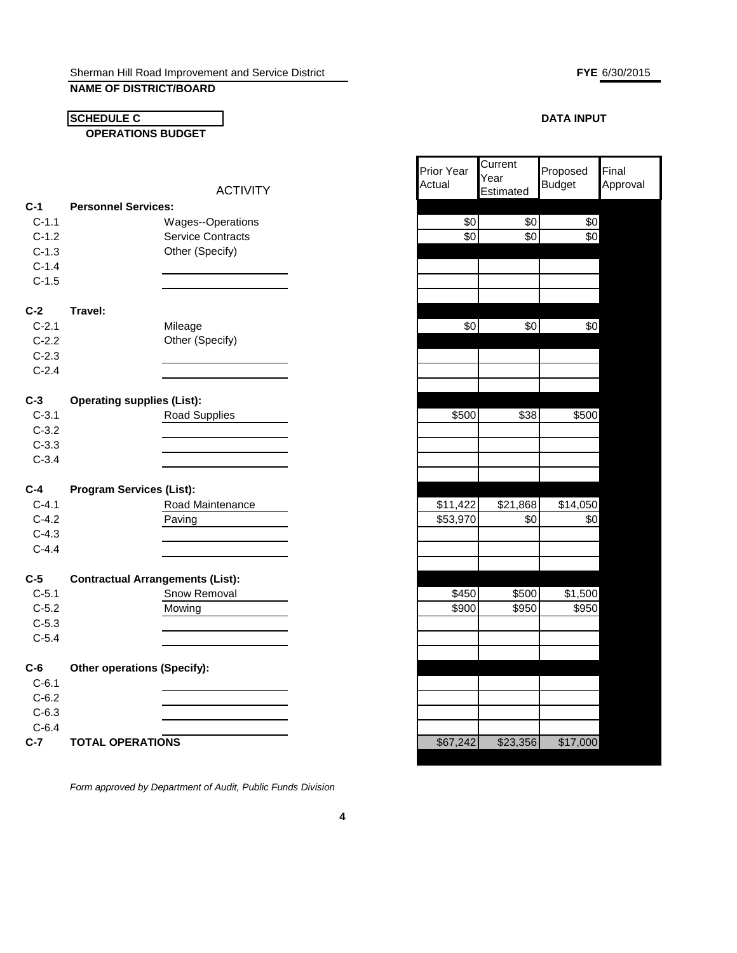# **NAME OF DISTRICT/BOARD**

**SCHEDULE C**

**OPERATIONS BUDGET**

|         |                                         | <b>ACTIVITY</b>          | Actual   | rear<br>Estimated | <b>Budget</b> | Approval |
|---------|-----------------------------------------|--------------------------|----------|-------------------|---------------|----------|
| $C-1$   | <b>Personnel Services:</b>              |                          |          |                   |               |          |
| $C-1.1$ |                                         | Wages--Operations        | \$0      | \$0               | \$0           |          |
| $C-1.2$ |                                         | <b>Service Contracts</b> | \$0      | \$0               | $\frac{6}{3}$ |          |
| $C-1.3$ |                                         | Other (Specify)          |          |                   |               |          |
| $C-1.4$ |                                         |                          |          |                   |               |          |
| $C-1.5$ |                                         |                          |          |                   |               |          |
|         |                                         |                          |          |                   |               |          |
| $C-2$   | Travel:                                 |                          |          |                   |               |          |
| $C-2.1$ |                                         | Mileage                  | \$0      | \$0               | \$0           |          |
| $C-2.2$ |                                         | Other (Specify)          |          |                   |               |          |
| $C-2.3$ |                                         |                          |          |                   |               |          |
| $C-2.4$ |                                         |                          |          |                   |               |          |
|         |                                         |                          |          |                   |               |          |
| $C-3$   | <b>Operating supplies (List):</b>       |                          |          |                   |               |          |
| $C-3.1$ |                                         | <b>Road Supplies</b>     | \$500    | \$38              | \$500         |          |
| $C-3.2$ |                                         |                          |          |                   |               |          |
| $C-3.3$ |                                         |                          |          |                   |               |          |
| $C-3.4$ |                                         |                          |          |                   |               |          |
|         |                                         |                          |          |                   |               |          |
| $C-4$   | <b>Program Services (List):</b>         |                          |          |                   |               |          |
| $C-4.1$ |                                         | Road Maintenance         | \$11,422 | \$21,868          | \$14,050      |          |
| $C-4.2$ |                                         | Paving                   | \$53,970 | \$0               | \$0           |          |
| $C-4.3$ |                                         |                          |          |                   |               |          |
| $C-4.4$ |                                         |                          |          |                   |               |          |
| $C-5$   | <b>Contractual Arrangements (List):</b> |                          |          |                   |               |          |
| $C-5.1$ |                                         | Snow Removal             | \$450    | \$500             | \$1,500       |          |
| $C-5.2$ |                                         | Mowing                   | \$900    | \$950             | \$950         |          |
| $C-5.3$ |                                         |                          |          |                   |               |          |
| $C-5.4$ |                                         |                          |          |                   |               |          |
|         |                                         |                          |          |                   |               |          |
| $C-6$   | <b>Other operations (Specify):</b>      |                          |          |                   |               |          |
| $C-6.1$ |                                         |                          |          |                   |               |          |
| $C-6.2$ |                                         |                          |          |                   |               |          |
| $C-6.3$ |                                         |                          |          |                   |               |          |
| $C-6.4$ |                                         |                          |          |                   |               |          |
| $C-7$   | <b>TOTAL OPERATIONS</b>                 |                          | \$67,242 | \$23,356          | \$17,000      |          |

*Form approved by Department of Audit, Public Funds Division*

**FYE** 6/30/2015

#### **DATA INPUT**

| Prior Year<br>Actual | Current<br>Year<br>Estimated | Proposed<br><b>Budget</b> | Final<br>Approval |
|----------------------|------------------------------|---------------------------|-------------------|
|                      |                              |                           |                   |
| \$0                  | \$0                          | \$0                       |                   |
| \$0                  | \$0                          | \$0                       |                   |
|                      |                              |                           |                   |
|                      |                              |                           |                   |
|                      |                              |                           |                   |
|                      |                              |                           |                   |
|                      |                              |                           |                   |
| \$0                  | $\overline{60}$              | $\sqrt{6}$                |                   |
|                      |                              |                           |                   |
|                      |                              |                           |                   |
|                      |                              |                           |                   |
|                      |                              |                           |                   |
|                      |                              |                           |                   |
|                      |                              |                           |                   |
| \$500                | \$38                         | \$500                     |                   |
|                      |                              |                           |                   |
|                      |                              |                           |                   |
|                      |                              |                           |                   |
|                      |                              |                           |                   |
|                      |                              |                           |                   |
| \$11,422             | \$21,868                     | \$14,050                  |                   |
| \$53,970             | \$0                          | \$0                       |                   |
|                      |                              |                           |                   |
|                      |                              |                           |                   |
|                      |                              |                           |                   |
|                      |                              |                           |                   |
| \$450                | \$500                        | \$1,500                   |                   |
| \$900                | \$950                        | \$950                     |                   |
|                      |                              |                           |                   |
|                      |                              |                           |                   |
|                      |                              |                           |                   |
|                      |                              |                           |                   |
|                      |                              |                           |                   |
|                      |                              |                           |                   |
|                      |                              |                           |                   |
|                      |                              |                           |                   |
| \$67,242             | \$23,356                     | \$17,000                  |                   |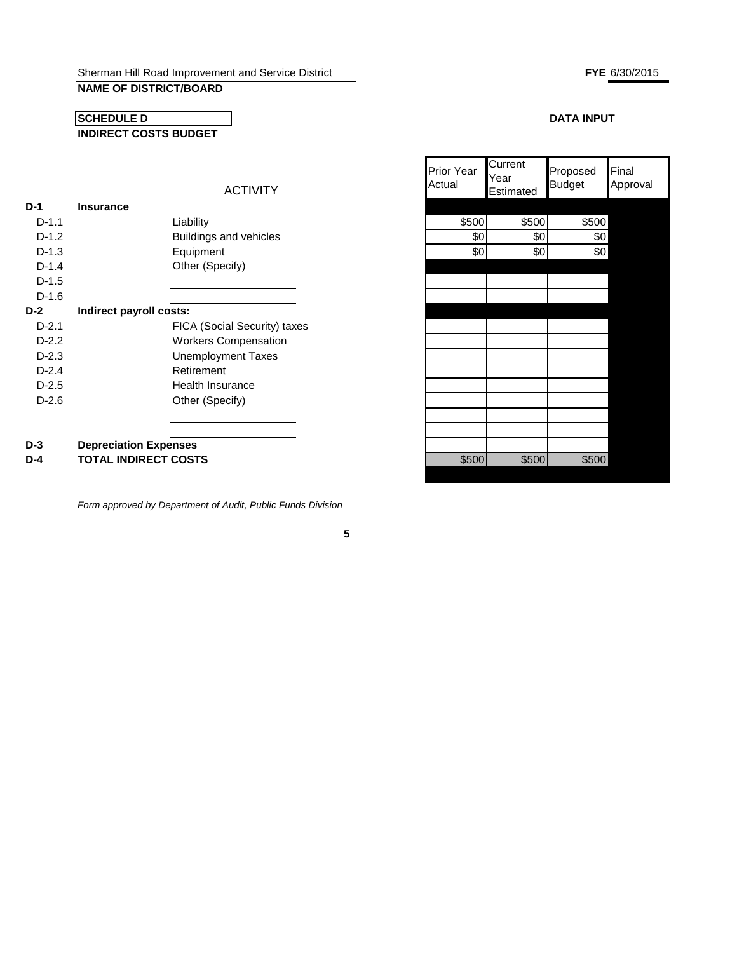ACTIVITY

# **NAME OF DISTRICT/BOARD**

# **SCHEDULE D INDIRECT COSTS BUDGET**

# **D-1 Insurance** D-1.1 Liability \$500 \$500 \$500 D-1.2 **Buildings and vehicles** D-1.3 Equipment \$0 \$0 \$0 D-1.4 Other (Specify) D-1.5 D-1.6 **D-2 Indirect payroll costs:** D-2.1 FICA (Social Security) taxes D-2.2 Workers Compensation D-2.3 Unemployment Taxes D-2.4 Retirement D-2.5 Health Insurance

| ווטט ויטוו<br>Actual | Year<br>Estimated | Tupuuu<br><b>Budget</b> | ושווו<br>Approval |
|----------------------|-------------------|-------------------------|-------------------|
|                      |                   |                         |                   |
| \$500                | \$500             | \$500                   |                   |
| \$0                  | \$0               | \$0                     |                   |
| \$0                  | \$0               | \$0                     |                   |
|                      |                   |                         |                   |
|                      |                   |                         |                   |
|                      |                   |                         |                   |
|                      |                   |                         |                   |

Current

Prior Year

| D-3 | <b>Depreciation Expenses</b> |  |
|-----|------------------------------|--|

D-2.6

**D-4 TOTAL INDIRECT COSTS 10 10 5500 5500 5500 \$500** \$500

*Form approved by Department of Audit, Public Funds Division*

Other (Specify)

#### **FYE** 6/30/2015

Final

# **DATA INPUT**

Proposed

**5**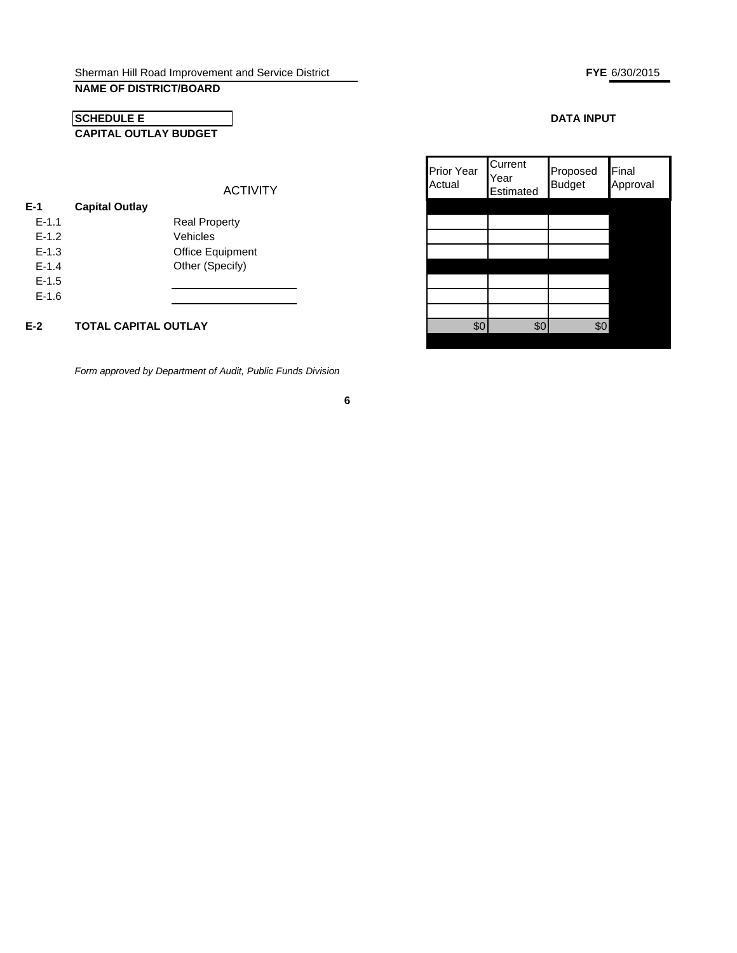# **NAME OF DISTRICT/BOARD**

# **CAPITAL OUTLAY BUDGET SCHEDULE E**

#### ACTIVITY

| E-1       | <b>Capital Outlay</b> |                         |
|-----------|-----------------------|-------------------------|
| $F - 1.1$ |                       | <b>Real Property</b>    |
| $F-1.2$   |                       | Vehicles                |
| $F-1.3$   |                       | <b>Office Equipment</b> |
| $F - 1.4$ |                       | Other (Specify)         |
| $E - 1.5$ |                       |                         |
| $F-1.6$   |                       |                         |
|           |                       |                         |

# **E-2 TOTAL CAPITAL OUTLAY**

*Form approved by Department of Audit, Public Funds Division*

**6**

#### **DATA INPUT**

| ፍሰ | <b>Prior Year</b><br>Actual | Current<br>Year<br>Estimated | Proposed<br><b>Budget</b> | Final<br>Approval |
|----|-----------------------------|------------------------------|---------------------------|-------------------|
|    |                             |                              |                           |                   |
|    |                             |                              |                           |                   |
|    |                             |                              |                           |                   |
|    |                             |                              |                           |                   |
|    |                             |                              |                           |                   |
|    |                             |                              |                           |                   |
|    | ፍሶ                          |                              |                           |                   |

#### **FYE** 6/30/2015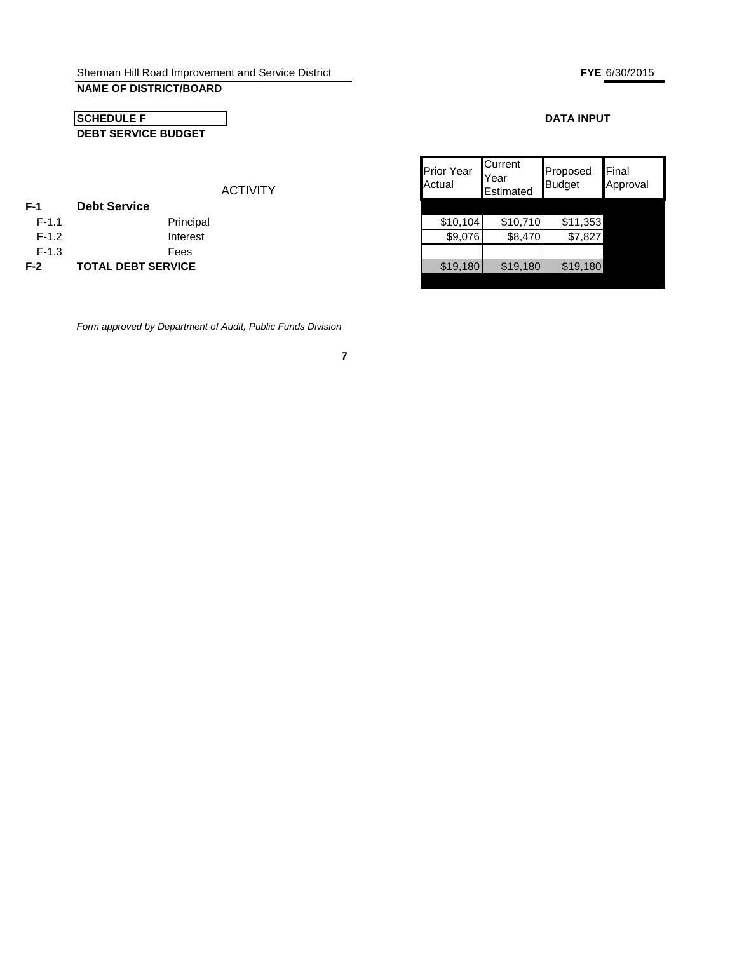# **NAME OF DISTRICT/BOARD**

# **DEBT SERVICE BUDGET SCHEDULE F**

| ACTIVITY |
|----------|
|          |

| $F-1$   | <b>Debt Service</b>       |          |          |          |
|---------|---------------------------|----------|----------|----------|
| $F-1.1$ | Principal                 | \$10,104 | \$10,710 | \$11,353 |
| $F-1.2$ | Interest                  | \$9,076  | \$8,470  | \$7,827  |
| $F-1.3$ | Fees                      |          |          |          |
| $F-2$   | <b>TOTAL DEBT SERVICE</b> | \$19,180 | \$19,180 | \$19,180 |

*Form approved by Department of Audit, Public Funds Division*

# **DATA INPUT**

| <b>Prior Year</b><br>Actual | Current<br>Year<br>Estimated | Proposed<br><b>Budget</b> | Final<br>Approval |
|-----------------------------|------------------------------|---------------------------|-------------------|
| \$10,104                    | \$10,710                     | \$11,353                  |                   |
| \$9,076                     | \$8,470                      | \$7,827                   |                   |
|                             |                              |                           |                   |
| \$19,180                    | \$19,180                     | \$19,180                  |                   |
|                             |                              |                           |                   |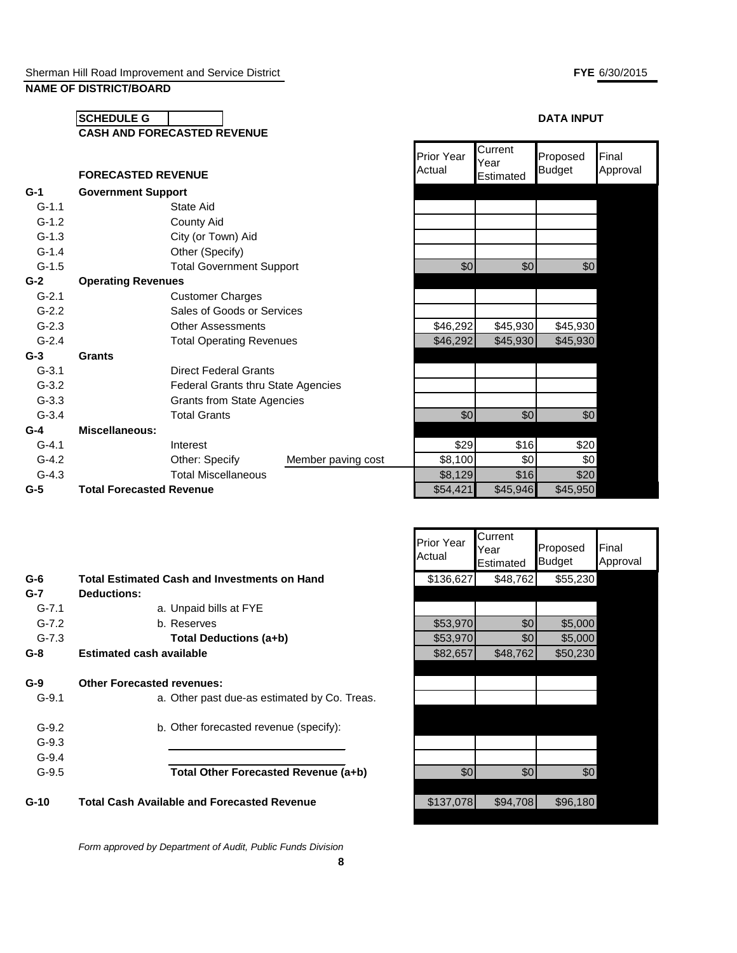# **SCHEDULE G**  $\begin{bmatrix} \bullet & \bullet & \bullet \\ \bullet & \bullet & \bullet \end{bmatrix}$ **CASH AND FORECASTED REVENUE**

|           | <b>FORECASTED REVENUE</b> |                                           |                    | Actual   | rear<br>Estimated | <b>Budget</b> | Approval |
|-----------|---------------------------|-------------------------------------------|--------------------|----------|-------------------|---------------|----------|
| $G-1$     | <b>Government Support</b> |                                           |                    |          |                   |               |          |
| $G-1.1$   |                           | State Aid                                 |                    |          |                   |               |          |
| $G-1.2$   |                           | County Aid                                |                    |          |                   |               |          |
| $G-1.3$   |                           | City (or Town) Aid                        |                    |          |                   |               |          |
| $G-1.4$   |                           | Other (Specify)                           |                    |          |                   |               |          |
| $G-1.5$   |                           | <b>Total Government Support</b>           |                    | \$0      | \$0               | \$0           |          |
| $G-2$     | <b>Operating Revenues</b> |                                           |                    |          |                   |               |          |
| $G-2.1$   |                           | <b>Customer Charges</b>                   |                    |          |                   |               |          |
| $G-2.2$   |                           | Sales of Goods or Services                |                    |          |                   |               |          |
| $G-2.3$   |                           | <b>Other Assessments</b>                  |                    | \$46,292 | \$45,930          | \$45,930      |          |
| $G-2.4$   |                           | <b>Total Operating Revenues</b>           |                    | \$46,292 | \$45,930          | \$45,930      |          |
| $G-3$     | <b>Grants</b>             |                                           |                    |          |                   |               |          |
| $G-3.1$   |                           | <b>Direct Federal Grants</b>              |                    |          |                   |               |          |
| $G-3.2$   |                           | <b>Federal Grants thru State Agencies</b> |                    |          |                   |               |          |
| $G-3.3$   |                           | <b>Grants from State Agencies</b>         |                    |          |                   |               |          |
| $G - 3.4$ |                           | <b>Total Grants</b>                       |                    | \$0      | \$0               | \$0           |          |
| $G-4$     | <b>Miscellaneous:</b>     |                                           |                    |          |                   |               |          |
| $G-4.1$   |                           | Interest                                  |                    | \$29     | \$16              | \$20          |          |
| $G - 4.2$ |                           | Other: Specify                            | Member paving cost | \$8,100  | \$0               | \$0           |          |
| $G-4.3$   |                           | <b>Total Miscellaneous</b>                |                    | \$8,129  | \$16              | \$20          |          |
|           |                           |                                           |                    |          |                   |               |          |

|           | <b>FORECASTED REVENUE</b>       |                                    |                    | <b>Prior Year</b><br>Actual | Current<br>Year<br>Estimated | Proposed<br><b>Budget</b> | Final<br>Approval |
|-----------|---------------------------------|------------------------------------|--------------------|-----------------------------|------------------------------|---------------------------|-------------------|
| $G-1$     | <b>Government Support</b>       |                                    |                    |                             |                              |                           |                   |
| $G-1.1$   |                                 | State Aid                          |                    |                             |                              |                           |                   |
| $G-1.2$   |                                 | County Aid                         |                    |                             |                              |                           |                   |
| $G-1.3$   |                                 | City (or Town) Aid                 |                    |                             |                              |                           |                   |
| $G-1.4$   |                                 | Other (Specify)                    |                    |                             |                              |                           |                   |
| $G-1.5$   |                                 | <b>Total Government Support</b>    |                    | \$0                         | \$0                          | \$0                       |                   |
| G-2       | <b>Operating Revenues</b>       |                                    |                    |                             |                              |                           |                   |
| $G-2.1$   |                                 | <b>Customer Charges</b>            |                    |                             |                              |                           |                   |
| $G-2.2$   |                                 | Sales of Goods or Services         |                    |                             |                              |                           |                   |
| $G-2.3$   |                                 | <b>Other Assessments</b>           |                    | \$46,292                    | \$45,930                     | \$45,930                  |                   |
| $G - 2.4$ |                                 | <b>Total Operating Revenues</b>    |                    | \$46,292                    | \$45,930                     | \$45,930                  |                   |
| G-3       | Grants                          |                                    |                    |                             |                              |                           |                   |
| $G-3.1$   |                                 | <b>Direct Federal Grants</b>       |                    |                             |                              |                           |                   |
| $G-3.2$   |                                 | Federal Grants thru State Agencies |                    |                             |                              |                           |                   |
| $G - 3.3$ |                                 | <b>Grants from State Agencies</b>  |                    |                             |                              |                           |                   |
| $G-3.4$   |                                 | <b>Total Grants</b>                |                    | \$0                         | \$0                          | \$0                       |                   |
| G-4       | Miscellaneous:                  |                                    |                    |                             |                              |                           |                   |
| $G-4.1$   |                                 | Interest                           |                    | \$29                        | \$16                         | \$20                      |                   |
| $G-4.2$   |                                 | Other: Specify                     | Member paving cost | \$8,100                     | \$0                          | \$0                       |                   |
| $G-4.3$   |                                 | <b>Total Miscellaneous</b>         |                    | \$8,129                     | \$16                         | \$20                      |                   |
| G-5       | <b>Total Forecasted Revenue</b> |                                    |                    | \$54,421                    | \$45,946                     | \$45,950                  |                   |
|           |                                 |                                    |                    |                             |                              |                           |                   |

| $G-6$     | <b>Total Estimated Cash and Investments on Hand</b> | \$136,627 | \$48,762         | \$55,230         |  |
|-----------|-----------------------------------------------------|-----------|------------------|------------------|--|
| $G-7$     | <b>Deductions:</b>                                  |           |                  |                  |  |
| $G - 7.1$ | a. Unpaid bills at FYE                              |           |                  |                  |  |
| $G-7.2$   | b. Reserves                                         | \$53,970  | \$0              | \$5,000          |  |
| $G-7.3$   | Total Deductions (a+b)                              | \$53,970  | \$0              | \$5,000          |  |
| $G-8$     | <b>Estimated cash available</b>                     | \$82,657  | \$48,762         | \$50,230         |  |
|           |                                                     |           |                  |                  |  |
| $G-9$     | <b>Other Forecasted revenues:</b>                   |           |                  |                  |  |
| $G-9.1$   | a. Other past due-as estimated by Co. Treas.        |           |                  |                  |  |
| $G-9.2$   | b. Other forecasted revenue (specify):              |           |                  |                  |  |
| $G-9.3$   |                                                     |           |                  |                  |  |
| $G-9.4$   |                                                     |           |                  |                  |  |
| $G-9.5$   | Total Other Forecasted Revenue (a+b)                | \$0       | \$0 <sub>1</sub> | \$0 <sub>1</sub> |  |
| $G-10$    | <b>Total Cash Available and Forecasted Revenue</b>  | \$137,078 | \$94,708         | \$96,180         |  |

*Form approved by Department of Audit, Public Funds Division*

| Prior Year<br>Actual | Current<br>Year<br>Estimated | Proposed<br><b>Budget</b> | Final<br>Approval |
|----------------------|------------------------------|---------------------------|-------------------|
| \$136,627            | \$48,762                     | \$55,230                  |                   |
|                      |                              |                           |                   |
|                      |                              |                           |                   |
| \$53,970             | \$0                          | \$5,000                   |                   |
| \$53,970             | \$0                          | \$5,000                   |                   |
| \$82,657             | \$48,762                     | \$50,230                  |                   |
|                      |                              |                           |                   |
|                      |                              |                           |                   |
|                      |                              |                           |                   |
|                      |                              |                           |                   |
|                      |                              |                           |                   |
|                      |                              |                           |                   |
|                      |                              |                           |                   |
| \$0                  | \$0                          | \$0                       |                   |
|                      |                              |                           |                   |
| \$137,078            | \$94,708                     | \$96,180                  |                   |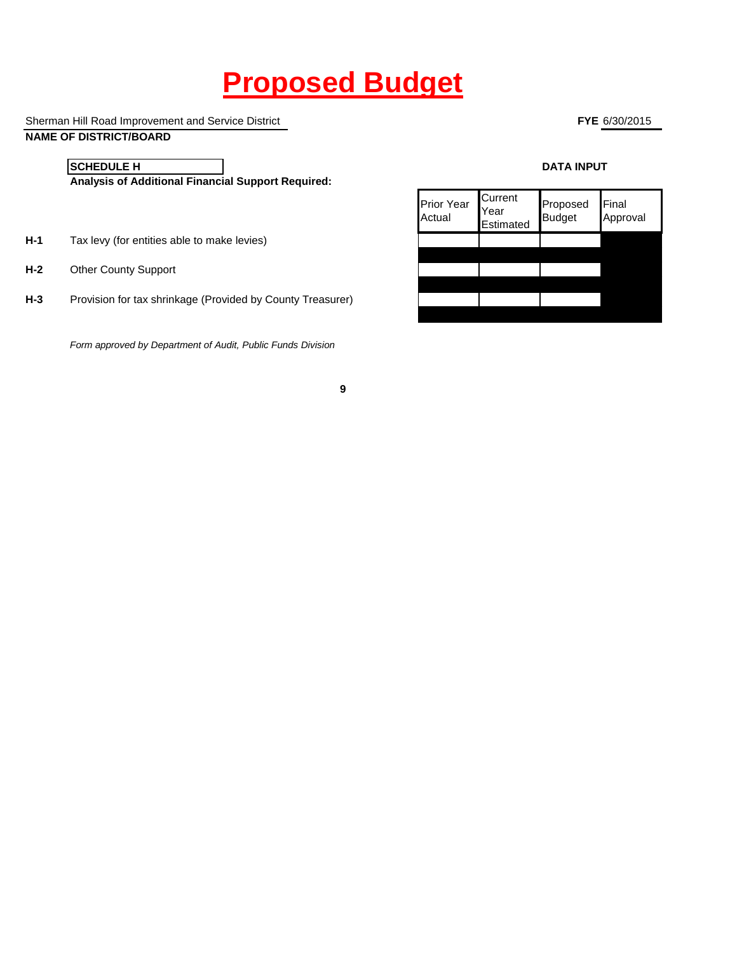# **Proposed Budget**

**9**

Sherman Hill Road Improvement and Service District

# **NAME OF DISTRICT/BOARD**

**FYE** 6/30/2015

**SCHEDULE H**

**Analysis of Additional Financial Support Required:**

- **H-1** Tax levy (for entities able to make levies)
- **H-2** Other County Support
- **H-3** Provision for tax shrinkage (Provided by County Treasurer)

*Form approved by Department of Audit, Public Funds Division*

#### **DATA INPUT**

| <b>Prior Year</b><br>Actual | Current<br>Year<br>Estimated | Proposed<br><b>Budget</b> | Final<br>Approval |
|-----------------------------|------------------------------|---------------------------|-------------------|
|                             |                              |                           |                   |
|                             |                              |                           |                   |
|                             |                              |                           |                   |
|                             |                              |                           |                   |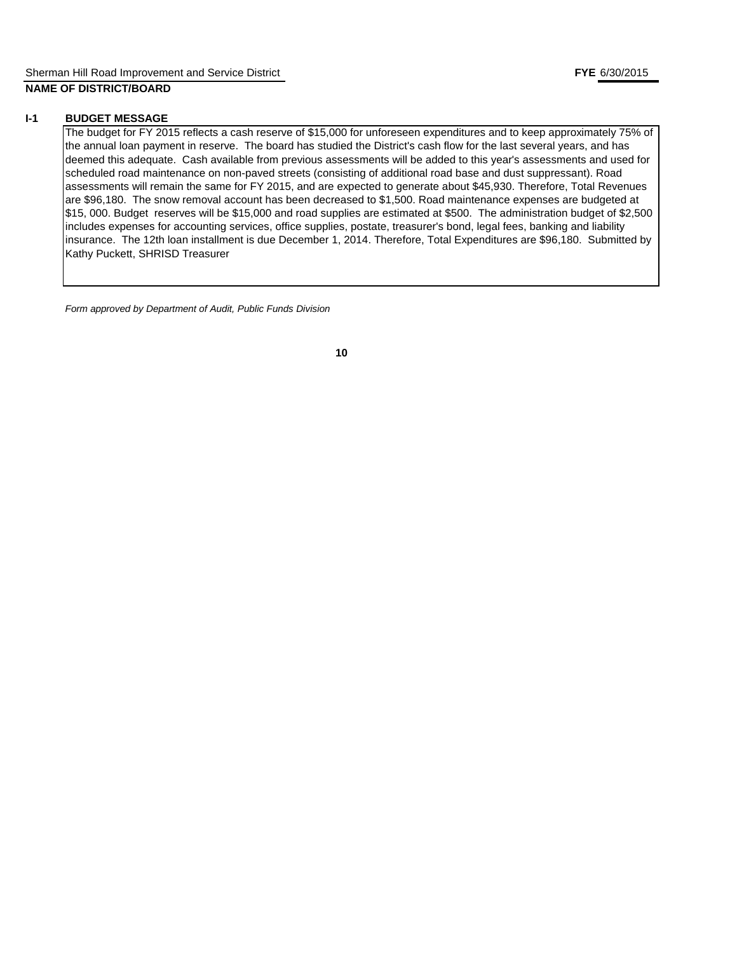#### **I-1 BUDGET MESSAGE**

The budget for FY 2015 reflects a cash reserve of \$15,000 for unforeseen expenditures and to keep approximately 75% of the annual loan payment in reserve. The board has studied the District's cash flow for the last several years, and has deemed this adequate. Cash available from previous assessments will be added to this year's assessments and used for scheduled road maintenance on non-paved streets (consisting of additional road base and dust suppressant). Road assessments will remain the same for FY 2015, and are expected to generate about \$45,930. Therefore, Total Revenues are \$96,180. The snow removal account has been decreased to \$1,500. Road maintenance expenses are budgeted at \$15, 000. Budget reserves will be \$15,000 and road supplies are estimated at \$500. The administration budget of \$2,500 includes expenses for accounting services, office supplies, postate, treasurer's bond, legal fees, banking and liability insurance. The 12th loan installment is due December 1, 2014. Therefore, Total Expenditures are \$96,180. Submitted by Kathy Puckett, SHRISD Treasurer

*Form approved by Department of Audit, Public Funds Division*

**10**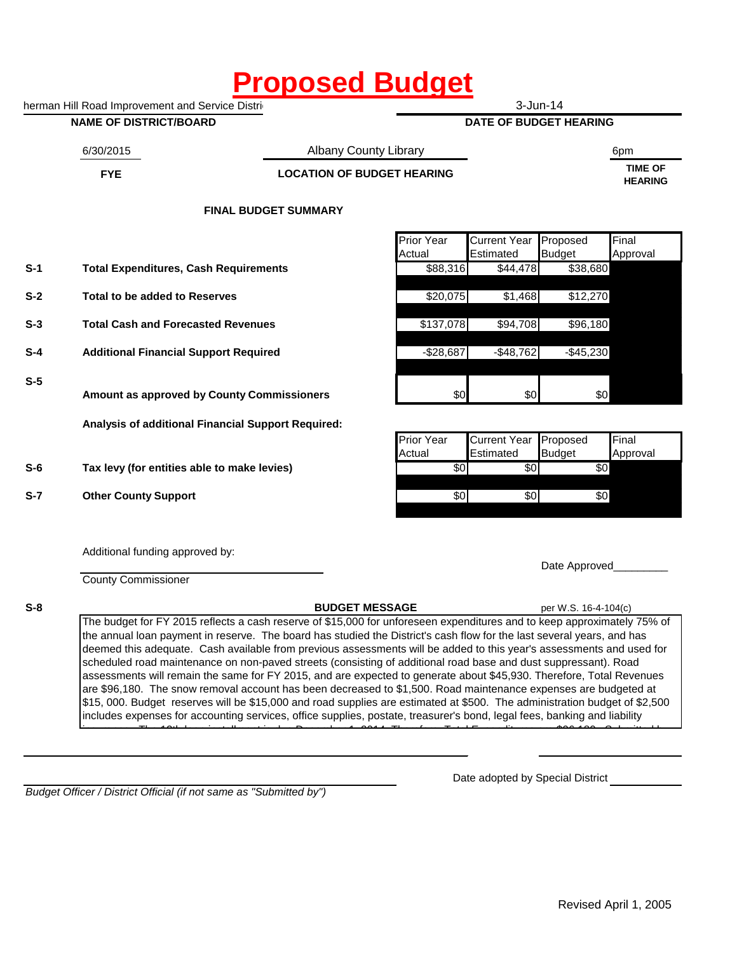# **Proposed Budget**

herman Hill Road Improvement and Service Distri

#### **NAME OF DISTRICT/BOARD**

3-Jun-14

**DATE OF BUDGET HEARING**

6/30/2015 6pm Albany County Library

# **FYE TIME OF LOCATION OF BUDGET HEARING**

**HEARING**

# **FINAL BUDGET SUMMARY**

|       |                                                    | <b>Prior Year</b> | <b>Current Year</b> | Proposed      | Final    |
|-------|----------------------------------------------------|-------------------|---------------------|---------------|----------|
|       |                                                    | Actual            | Estimated           | <b>Budget</b> | Approval |
| $S-1$ | <b>Total Expenditures, Cash Requirements</b>       | \$88,316          | \$44,478            | \$38,680      |          |
| $S-2$ | Total to be added to Reserves                      | \$20,075          | \$1,468             | \$12,270      |          |
| $S-3$ | <b>Total Cash and Forecasted Revenues</b>          | \$137,078         | \$94,708            | \$96,180      |          |
| $S-4$ | <b>Additional Financial Support Required</b>       | $-$ \$28,687      | $-$ \$48,762        | $-$45,230$    |          |
| $S-5$ | Amount as approved by County Commissioners         | \$0               | \$0                 | \$0           |          |
|       | Analysis of additional Financial Support Required: |                   |                     |               |          |
|       |                                                    | <b>Prior Year</b> | <b>Current Year</b> | Proposed      | Final    |
|       |                                                    | Actual            | Estimated           | <b>Budget</b> | Approval |
| $S-6$ | Tax levy (for entities able to make levies)        | \$0               | \$0                 | \$0           |          |
| $S-7$ | <b>Other County Support</b>                        | \$0               | \$0                 | \$0           |          |
|       | Additional funding approved by:                    |                   |                     |               |          |

County Commissioner

**S-8**

**BUDGET MESSAGE** per W.S. 16-4-104(c)

Date Approved

The budget for FY 2015 reflects a cash reserve of \$15,000 for unforeseen expenditures and to keep approximately 75% of the annual loan payment in reserve. The board has studied the District's cash flow for the last several years, and has deemed this adequate. Cash available from previous assessments will be added to this year's assessments and used for scheduled road maintenance on non-paved streets (consisting of additional road base and dust suppressant). Road assessments will remain the same for FY 2015, and are expected to generate about \$45,930. Therefore, Total Revenues are \$96,180. The snow removal account has been decreased to \$1,500. Road maintenance expenses are budgeted at \$15, 000. Budget reserves will be \$15,000 and road supplies are estimated at \$500. The administration budget of \$2,500 includes expenses for accounting services, office supplies, postate, treasurer's bond, legal fees, banking and liability insurance. The 12th loan is due December 1, 2014. Therefore, Total Expenditures are  $\frac{960,1800}{2}$ 

*Budget Officer / District Official (if not same as "Submitted by")*

Date adopted by Special District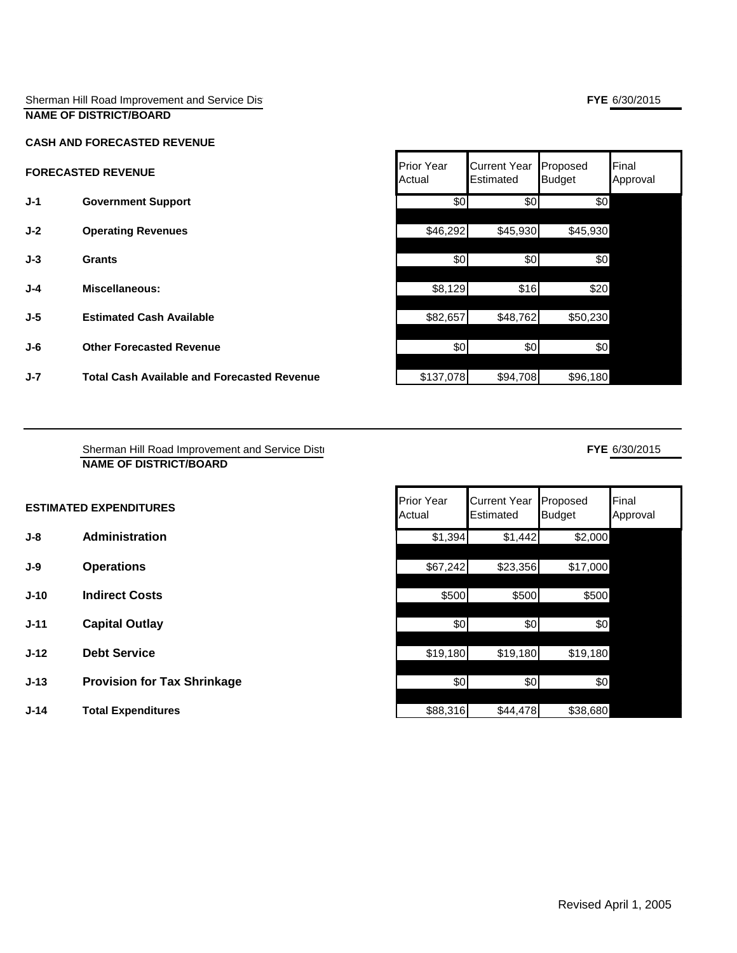#### Sherman Hill Road Improvement and Service District **NAME OF DISTRICT/BOARD**

#### **CASH AND FORECASTED REVENUE**

- **J-1 Government Support**
- **J-2 Operating Revenues**
- 
- **J-4 Miscellaneous:**
- 
- 
- **J-7 Total Cash Available and Forecasted Revenue \$137,078| \$94,708| \$96,180**|

| <b>FORECASTED REVENUE</b>       | <b>Prior Year</b><br>Actual | <b>Current Year</b><br>Estimated |          | Final<br>Approval                     |
|---------------------------------|-----------------------------|----------------------------------|----------|---------------------------------------|
| <b>Government Support</b>       | \$0                         | \$0                              | \$0      |                                       |
| <b>Operating Revenues</b>       | \$46,292                    |                                  | \$45,930 |                                       |
| <b>Grants</b>                   | \$0                         | \$0                              | \$0      |                                       |
| Miscellaneous:                  | \$8,129                     | \$16                             | \$20     |                                       |
| <b>Estimated Cash Available</b> | \$82,657                    | \$48,762                         | \$50,230 |                                       |
| <b>Other Forecasted Revenue</b> | \$0                         | \$0                              | \$0      |                                       |
|                                 |                             |                                  |          | Proposed<br><b>Budget</b><br>\$45,930 |

# **FYE** 6/30/2015

| Sherman Hill Road Improvement and Service Dist |  |
|------------------------------------------------|--|
| NAME OF DISTRICT/BOARD                         |  |

| <b>ESTIMATED EXPENDITURES</b> | <b>Prior Year</b>         |
|-------------------------------|---------------------------|
|                               | $\Lambda$ of up $\Lambda$ |

- **J-8 Administration**
- 
- **J-10 Indirect Costs**
- **J-11 Capital Outlay**
- **J-12 Debt Service**
- **J-13** Provision for Tax Shrinkage
- **J-14 Total Expenditures**

| <b>ESTIMATED EXPENDITURES</b> |                                    | <b>Prior Year</b><br>Actual | <b>Current Year</b><br>Estimated | Proposed<br><b>Budget</b> | Final<br>Approval |
|-------------------------------|------------------------------------|-----------------------------|----------------------------------|---------------------------|-------------------|
| J-8                           | Administration                     | \$1,394                     | \$1,442                          | \$2,000                   |                   |
| J-9                           | <b>Operations</b>                  | \$67,242                    | \$23,356                         | \$17,000                  |                   |
| J-10                          | <b>Indirect Costs</b>              | \$500                       | \$500                            | \$500                     |                   |
| J-11                          | <b>Capital Outlay</b>              | \$0                         | \$0                              | \$0                       |                   |
| $J-12$                        | <b>Debt Service</b>                | \$19,180                    | \$19,180                         | \$19,180                  |                   |
| J-13                          | <b>Provision for Tax Shrinkage</b> | \$0                         | \$0                              | \$0                       |                   |
| J-14                          | <b>Total Expenditures</b>          | \$88,316                    | \$44,478                         | \$38,680                  |                   |

### **FYE** 6/30/2015